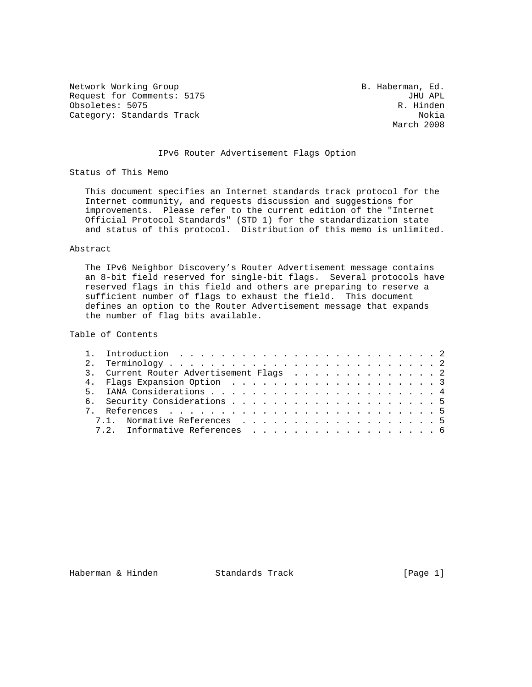Network Working Group and B. Haberman, Ed. Request for Comments: 5175 JHU APL JUNE Obsoletes: 5075 Obsoletes: 5075<br>Category: Standards Track Category: Standards Track Category: Standards Track

March 2008

## IPv6 Router Advertisement Flags Option

Status of This Memo

 This document specifies an Internet standards track protocol for the Internet community, and requests discussion and suggestions for improvements. Please refer to the current edition of the "Internet Official Protocol Standards" (STD 1) for the standardization state and status of this protocol. Distribution of this memo is unlimited.

### Abstract

 The IPv6 Neighbor Discovery's Router Advertisement message contains an 8-bit field reserved for single-bit flags. Several protocols have reserved flags in this field and others are preparing to reserve a sufficient number of flags to exhaust the field. This document defines an option to the Router Advertisement message that expands the number of flag bits available.

# Table of Contents

|  | 3. Current Router Advertisement Flags 2 |
|--|-----------------------------------------|
|  |                                         |
|  |                                         |
|  |                                         |
|  |                                         |
|  | 7.1. Normative References 5             |
|  | 7.2. Informative References 6           |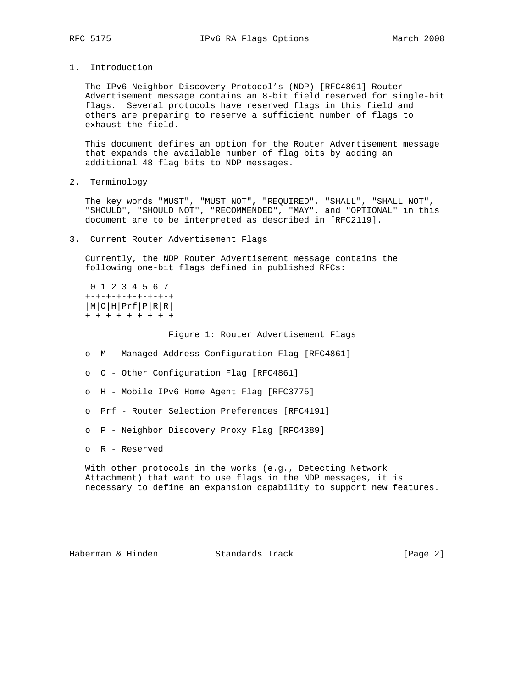1. Introduction

 The IPv6 Neighbor Discovery Protocol's (NDP) [RFC4861] Router Advertisement message contains an 8-bit field reserved for single-bit flags. Several protocols have reserved flags in this field and others are preparing to reserve a sufficient number of flags to exhaust the field.

 This document defines an option for the Router Advertisement message that expands the available number of flag bits by adding an additional 48 flag bits to NDP messages.

2. Terminology

 The key words "MUST", "MUST NOT", "REQUIRED", "SHALL", "SHALL NOT", "SHOULD", "SHOULD NOT", "RECOMMENDED", "MAY", and "OPTIONAL" in this document are to be interpreted as described in [RFC2119].

3. Current Router Advertisement Flags

 Currently, the NDP Router Advertisement message contains the following one-bit flags defined in published RFCs:

```
 0 1 2 3 4 5 6 7
+-+-+-+-+-+-+-+-+
|M|O|H|Prf|P|R|R|
+-+-+-+-+-+-+-+-+
```
Figure 1: Router Advertisement Flags

- o M Managed Address Configuration Flag [RFC4861]
- o O Other Configuration Flag [RFC4861]
- o H Mobile IPv6 Home Agent Flag [RFC3775]
- o Prf Router Selection Preferences [RFC4191]
- o P Neighbor Discovery Proxy Flag [RFC4389]
- o R Reserved

 With other protocols in the works (e.g., Detecting Network Attachment) that want to use flags in the NDP messages, it is necessary to define an expansion capability to support new features.

Haberman & Hinden Standards Track [Page 2]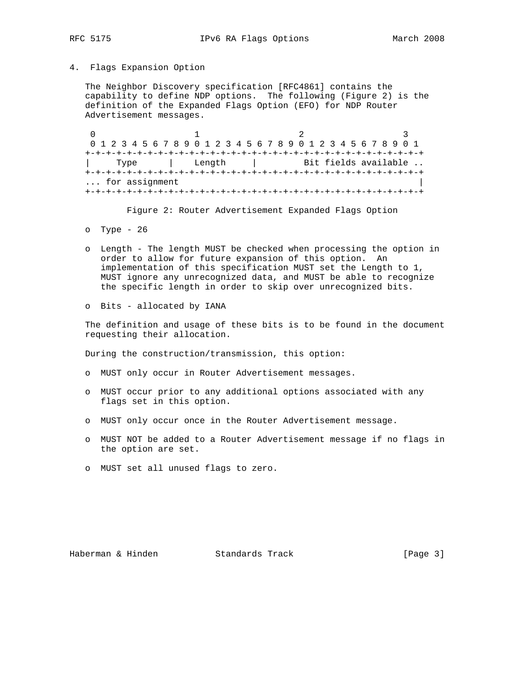### 4. Flags Expansion Option

 The Neighbor Discovery specification [RFC4861] contains the capability to define NDP options. The following (Figure 2) is the definition of the Expanded Flags Option (EFO) for NDP Router Advertisement messages.

0  $1$  2 3 0 1 2 3 4 5 6 7 8 9 0 1 2 3 4 5 6 7 8 9 0 1 2 3 4 5 6 7 8 9 0 1 +-+-+-+-+-+-+-+-+-+-+-+-+-+-+-+-+-+-+-+-+-+-+-+-+-+-+-+-+-+-+-+-+ | Type | Length | Bit fields available .. +-+-+-+-+-+-+-+-+-+-+-+-+-+-+-+-+-+-+-+-+-+-+-+-+-+-+-+-+-+-+-+-+ ... for assignment +-+-+-+-+-+-+-+-+-+-+-+-+-+-+-+-+-+-+-+-+-+-+-+-+-+-+-+-+-+-+-+-+

Figure 2: Router Advertisement Expanded Flags Option

- o Type 26
- o Length The length MUST be checked when processing the option in order to allow for future expansion of this option. An implementation of this specification MUST set the Length to 1, MUST ignore any unrecognized data, and MUST be able to recognize the specific length in order to skip over unrecognized bits.
- o Bits allocated by IANA

 The definition and usage of these bits is to be found in the document requesting their allocation.

During the construction/transmission, this option:

- o MUST only occur in Router Advertisement messages.
- o MUST occur prior to any additional options associated with any flags set in this option.
- o MUST only occur once in the Router Advertisement message.
- o MUST NOT be added to a Router Advertisement message if no flags in the option are set.
- o MUST set all unused flags to zero.

Haberman & Hinden Standards Track (Page 3)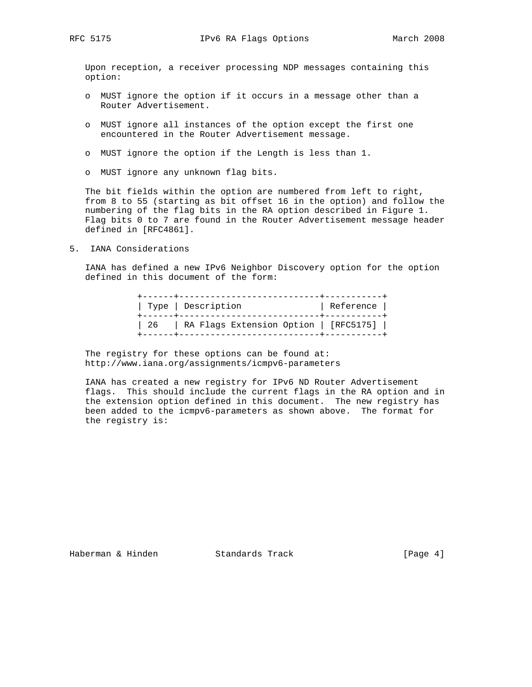Upon reception, a receiver processing NDP messages containing this option:

- o MUST ignore the option if it occurs in a message other than a Router Advertisement.
- o MUST ignore all instances of the option except the first one encountered in the Router Advertisement message.
- o MUST ignore the option if the Length is less than 1.
- o MUST ignore any unknown flag bits.

 The bit fields within the option are numbered from left to right, from 8 to 55 (starting as bit offset 16 in the option) and follow the numbering of the flag bits in the RA option described in Figure 1. Flag bits 0 to 7 are found in the Router Advertisement message header defined in [RFC4861].

5. IANA Considerations

 IANA has defined a new IPv6 Neighbor Discovery option for the option defined in this document of the form:

|      | Type   Description                    | Reference |
|------|---------------------------------------|-----------|
| 26 — | RA Flags Extension Option   [RFC5175] |           |

The registry for these options can be found at: http://www.iana.org/assignments/icmpv6-parameters

 IANA has created a new registry for IPv6 ND Router Advertisement flags. This should include the current flags in the RA option and in the extension option defined in this document. The new registry has been added to the icmpv6-parameters as shown above. The format for the registry is:

Haberman & Hinden Standards Track [Page 4]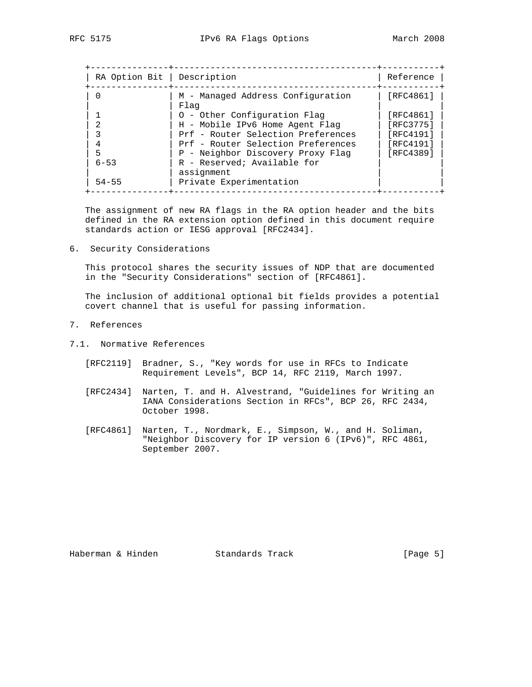| RA Option Bit   Description |                                           | Reference |
|-----------------------------|-------------------------------------------|-----------|
|                             | M - Managed Address Configuration<br>Flag | [RFC4861] |
|                             | 0 - Other Configuration Flag              | [RFC4861] |
|                             | H - Mobile IPv6 Home Agent Flag           | [RFC3775] |
|                             | Prf - Router Selection Preferences        | [RFC4191] |
|                             | Prf - Router Selection Preferences        | [RFC4191] |
| 5                           | P - Neighbor Discovery Proxy Flag         | [RFC4389] |
| $6 - 53$                    | R - Reserved; Available for<br>assignment |           |
| $54 - 55$                   | Private Experimentation                   |           |

 The assignment of new RA flags in the RA option header and the bits defined in the RA extension option defined in this document require standards action or IESG approval [RFC2434].

6. Security Considerations

 This protocol shares the security issues of NDP that are documented in the "Security Considerations" section of [RFC4861].

 The inclusion of additional optional bit fields provides a potential covert channel that is useful for passing information.

- 7. References
- 7.1. Normative References
	- [RFC2119] Bradner, S., "Key words for use in RFCs to Indicate Requirement Levels", BCP 14, RFC 2119, March 1997.
	- [RFC2434] Narten, T. and H. Alvestrand, "Guidelines for Writing an IANA Considerations Section in RFCs", BCP 26, RFC 2434, October 1998.
	- [RFC4861] Narten, T., Nordmark, E., Simpson, W., and H. Soliman, "Neighbor Discovery for IP version 6 (IPv6)", RFC 4861, September 2007.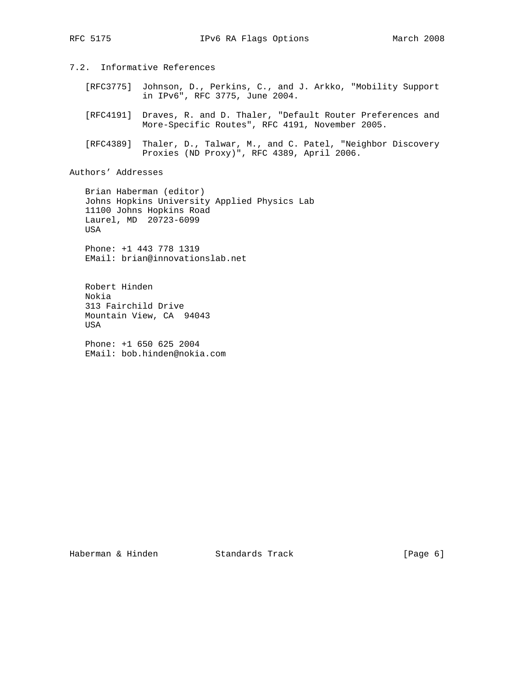# 7.2. Informative References

- [RFC3775] Johnson, D., Perkins, C., and J. Arkko, "Mobility Support in IPv6", RFC 3775, June 2004.
- [RFC4191] Draves, R. and D. Thaler, "Default Router Preferences and More-Specific Routes", RFC 4191, November 2005.
- [RFC4389] Thaler, D., Talwar, M., and C. Patel, "Neighbor Discovery Proxies (ND Proxy)", RFC 4389, April 2006.

Authors' Addresses

 Brian Haberman (editor) Johns Hopkins University Applied Physics Lab 11100 Johns Hopkins Road Laurel, MD 20723-6099 USA

 Phone: +1 443 778 1319 EMail: brian@innovationslab.net

 Robert Hinden Nokia 313 Fairchild Drive Mountain View, CA 94043 USA

 Phone: +1 650 625 2004 EMail: bob.hinden@nokia.com